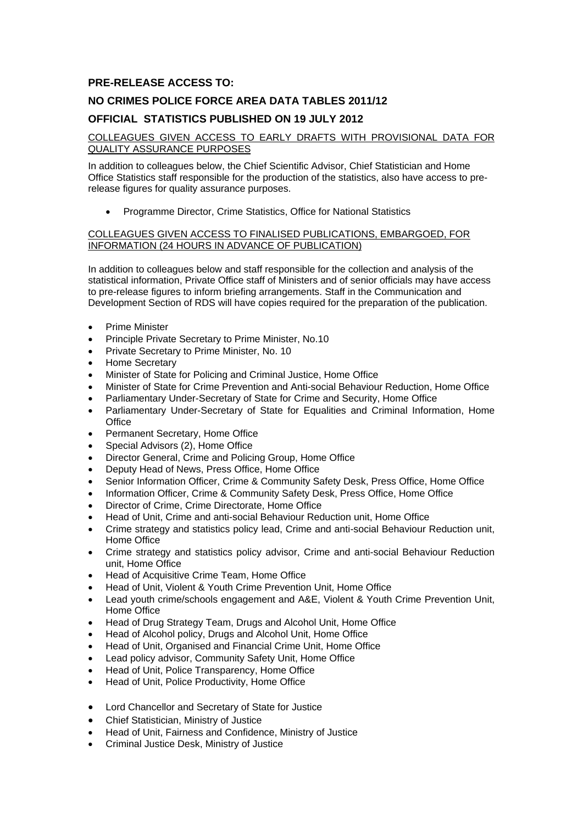## **PRE-RELEASE ACCESS TO:**

# **NO CRIMES POLICE FORCE AREA DATA TABLES 2011/12**

### **OFFICIAL STATISTICS PUBLISHED ON 19 JULY 2012**

#### COLLEAGUES GIVEN ACCESS TO EARLY DRAFTS WITH PROVISIONAL DATA FOR QUALITY ASSURANCE PURPOSES

In addition to colleagues below, the Chief Scientific Advisor, Chief Statistician and Home Office Statistics staff responsible for the production of the statistics, also have access to prerelease figures for quality assurance purposes.

Programme Director, Crime Statistics, Office for National Statistics

#### COLLEAGUES GIVEN ACCESS TO FINALISED PUBLICATIONS, EMBARGOED, FOR INFORMATION (24 HOURS IN ADVANCE OF PUBLICATION)

In addition to colleagues below and staff responsible for the collection and analysis of the statistical information, Private Office staff of Ministers and of senior officials may have access to pre-release figures to inform briefing arrangements. Staff in the Communication and Development Section of RDS will have copies required for the preparation of the publication.

- Prime Minister
- Principle Private Secretary to Prime Minister, No.10
- **•** Private Secretary to Prime Minister, No. 10
- Home Secretary
- Minister of State for Policing and Criminal Justice, Home Office
- Minister of State for Crime Prevention and Anti-social Behaviour Reduction, Home Office
- Parliamentary Under-Secretary of State for Crime and Security, Home Office
- Parliamentary Under-Secretary of State for Equalities and Criminal Information, Home **Office**
- Permanent Secretary, Home Office
- Special Advisors (2), Home Office
- Director General, Crime and Policing Group, Home Office
- Deputy Head of News, Press Office, Home Office
- Senior Information Officer, Crime & Community Safety Desk, Press Office, Home Office
- Information Officer, Crime & Community Safety Desk, Press Office, Home Office
- Director of Crime, Crime Directorate, Home Office
- Head of Unit, Crime and anti-social Behaviour Reduction unit, Home Office
- Crime strategy and statistics policy lead, Crime and anti-social Behaviour Reduction unit, Home Office
- Crime strategy and statistics policy advisor, Crime and anti-social Behaviour Reduction unit, Home Office
- Head of Acquisitive Crime Team, Home Office
- Head of Unit, Violent & Youth Crime Prevention Unit, Home Office
- Lead youth crime/schools engagement and A&E, Violent & Youth Crime Prevention Unit, Home Office
- Head of Drug Strategy Team, Drugs and Alcohol Unit, Home Office
- Head of Alcohol policy, Drugs and Alcohol Unit, Home Office
- Head of Unit, Organised and Financial Crime Unit, Home Office
- Lead policy advisor, Community Safety Unit, Home Office
- Head of Unit, Police Transparency, Home Office
- Head of Unit, Police Productivity, Home Office
- Lord Chancellor and Secretary of State for Justice
- Chief Statistician, Ministry of Justice
- Head of Unit, Fairness and Confidence, Ministry of Justice
- Criminal Justice Desk, Ministry of Justice